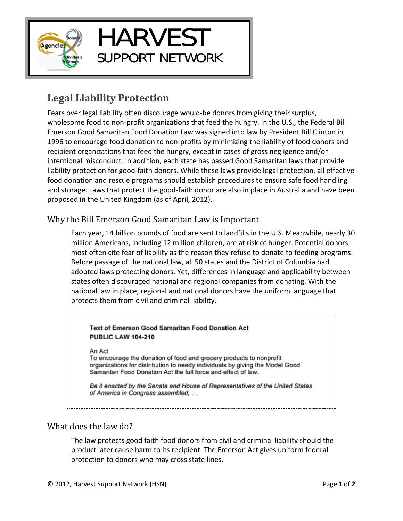

# HARVEST SUPPORT NETWORK

## **Legal Liability Protection**

Fears over legal liability often discourage would‐be donors from giving their surplus, wholesome food to non-profit organizations that feed the hungry. In the U.S., the Federal Bill Emerson Good Samaritan Food Donation Law was signed into law by President Bill Clinton in 1996 to encourage food donation to non‐profits by minimizing the liability of food donors and recipient organizations that feed the hungry, except in cases of gross negligence and/or intentional misconduct. In addition, each state has passed Good Samaritan laws that provide liability protection for good‐faith donors. While these laws provide legal protection, all effective food donation and rescue programs should establish procedures to ensure safe food handling and storage. Laws that protect the good-faith donor are also in place in Australia and have been proposed in the United Kingdom (as of April, 2012).

## Why the Bill Emerson Good Samaritan Law is Important

Each year, 14 billion pounds of food are sent to landfills in the U.S. Meanwhile, nearly 30 million Americans, including 12 million children, are at risk of hunger. Potential donors most often cite fear of liability as the reason they refuse to donate to feeding programs. Before passage of the national law, all 50 states and the District of Columbia had adopted laws protecting donors. Yet, differences in language and applicability between states often discouraged national and regional companies from donating. With the national law in place, regional and national donors have the uniform language that protects them from civil and criminal liability.

#### Text of Emerson Good Samaritan Food Donation Act **PUBLIC LAW 104-210**

#### An Act

To encourage the donation of food and grocery products to nonprofit organizations for distribution to needy individuals by giving the Model Good Samaritan Food Donation Act the full force and effect of law.

Be it enacted by the Senate and House of Representatives of the United States of America in Congress assembled, ...

## What does the law do?

The law protects good faith food donors from civil and criminal liability should the product later cause harm to its recipient. The Emerson Act gives uniform federal protection to donors who may cross state lines.